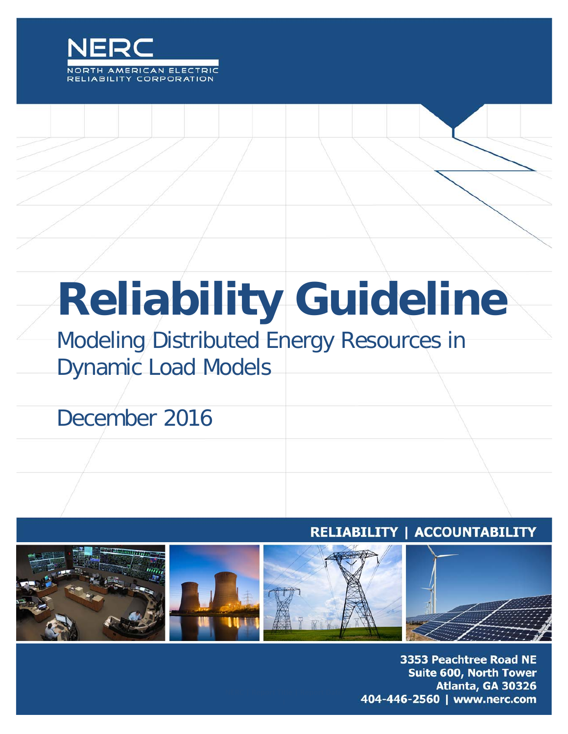

# **Reliability Guideline**

# Modeling Distributed Energy Resources in Dynamic Load Models

# December 2016

### RELIABILITY | ACCOUNTABILITY



3353 Peachtree Road NE **Suite 600, North Tower** Atlanta, GA 30326 404-446-2560 | www.nerc.com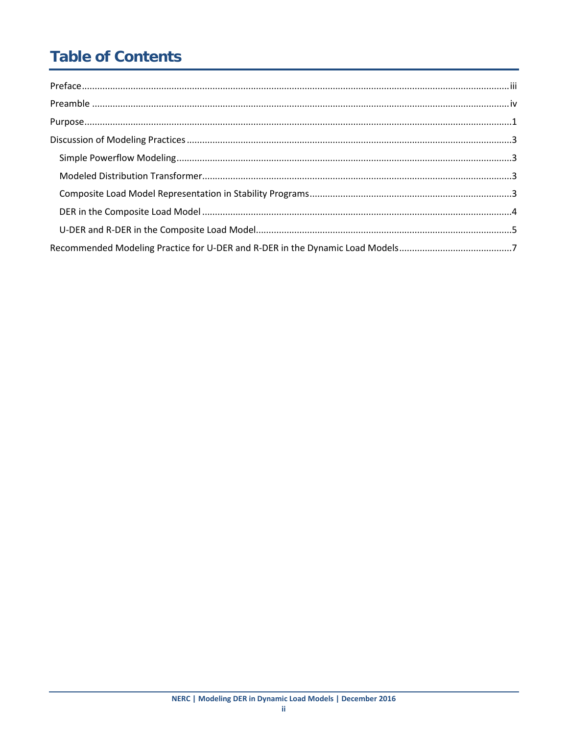# **Table of Contents**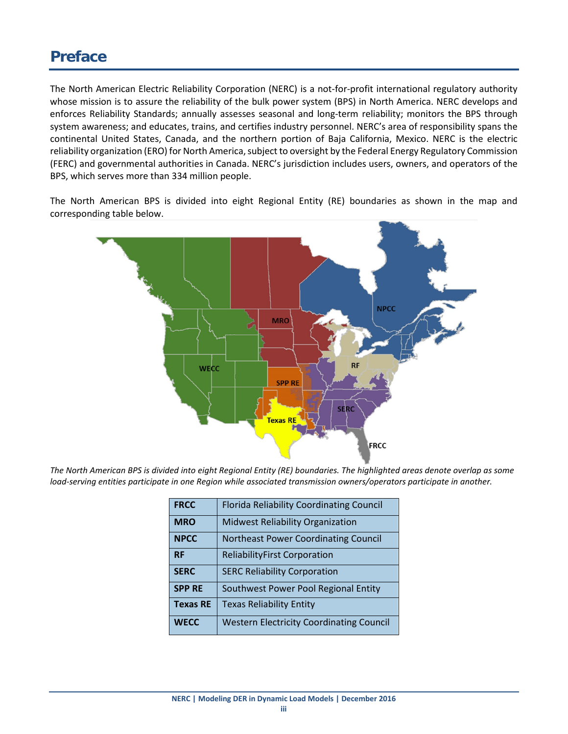## <span id="page-2-0"></span>**Preface**

The North American Electric Reliability Corporation (NERC) is a not-for-profit international regulatory authority whose mission is to assure the reliability of the bulk power system (BPS) in North America. NERC develops and enforces Reliability Standards; annually assesses seasonal and long-term reliability; monitors the BPS through system awareness; and educates, trains, and certifies industry personnel. NERC's area of responsibility spans the continental United States, Canada, and the northern portion of Baja California, Mexico. NERC is the electric reliability organization (ERO) for North America, subject to oversight by the Federal Energy Regulatory Commission (FERC) and governmental authorities in Canada. NERC's jurisdiction includes users, owners, and operators of the BPS, which serves more than 334 million people.

The North American BPS is divided into eight Regional Entity (RE) boundaries as shown in the map and corresponding table below.



*The North American BPS is divided into eight Regional Entity (RE) boundaries. The highlighted areas denote overlap as some load-serving entities participate in one Region while associated transmission owners/operators participate in another.*

| <b>FRCC</b>     | <b>Florida Reliability Coordinating Council</b> |
|-----------------|-------------------------------------------------|
| <b>MRO</b>      | <b>Midwest Reliability Organization</b>         |
| <b>NPCC</b>     | <b>Northeast Power Coordinating Council</b>     |
| <b>RF</b>       | <b>ReliabilityFirst Corporation</b>             |
| <b>SERC</b>     | <b>SERC Reliability Corporation</b>             |
| <b>SPP RE</b>   | Southwest Power Pool Regional Entity            |
| <b>Texas RE</b> | <b>Texas Reliability Entity</b>                 |
| <b>WECC</b>     | <b>Western Electricity Coordinating Council</b> |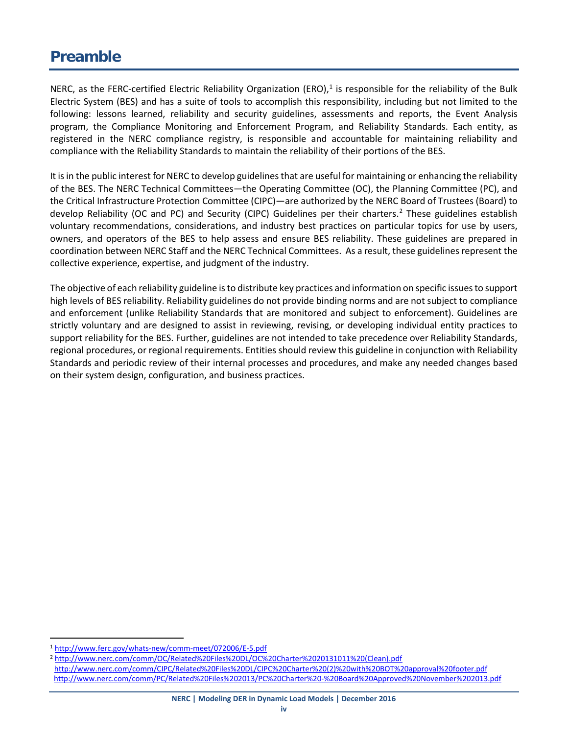# <span id="page-3-0"></span>**Preamble**

NERC, as the FERC-certified Electric Reliability Organization (ERO), $1$  is responsible for the reliability of the Bulk Electric System (BES) and has a suite of tools to accomplish this responsibility, including but not limited to the following: lessons learned, reliability and security guidelines, assessments and reports, the Event Analysis program, the Compliance Monitoring and Enforcement Program, and Reliability Standards. Each entity, as registered in the NERC compliance registry, is responsible and accountable for maintaining reliability and compliance with the Reliability Standards to maintain the reliability of their portions of the BES.

It is in the public interest for NERC to develop guidelines that are useful for maintaining or enhancing the reliability of the BES. The NERC Technical Committees—the Operating Committee (OC), the Planning Committee (PC), and the Critical Infrastructure Protection Committee (CIPC)—are authorized by the NERC Board of Trustees (Board) to develop Reliability (OC and PC) and Security (CIPC) Guidelines per their charters. [2](#page-3-2) These guidelines establish voluntary recommendations, considerations, and industry best practices on particular topics for use by users, owners, and operators of the BES to help assess and ensure BES reliability. These guidelines are prepared in coordination between NERC Staff and the NERC Technical Committees. As a result, these guidelines represent the collective experience, expertise, and judgment of the industry.

The objective of each reliability guideline is to distribute key practices and information on specific issues to support high levels of BES reliability. Reliability guidelines do not provide binding norms and are not subject to compliance and enforcement (unlike Reliability Standards that are monitored and subject to enforcement). Guidelines are strictly voluntary and are designed to assist in reviewing, revising, or developing individual entity practices to support reliability for the BES. Further, guidelines are not intended to take precedence over Reliability Standards, regional procedures, or regional requirements. Entities should review this guideline in conjunction with Reliability Standards and periodic review of their internal processes and procedures, and make any needed changes based on their system design, configuration, and business practices.

<span id="page-3-1"></span> <sup>1</sup> <http://www.ferc.gov/whats-new/comm-meet/072006/E-5.pdf>

<span id="page-3-2"></span><sup>2</sup> [http://www.nerc.com/comm/OC/Related%20Files%20DL/OC%20Charter%2020131011%20\(Clean\).pdf](http://www.nerc.com/comm/OC/Related%20Files%20DL/OC%20Charter%2020131011%20(Clean).pdf) [http://www.nerc.com/comm/CIPC/Related%20Files%20DL/CIPC%20Charter%20\(2\)%20with%20BOT%20approval%20footer.pdf](http://www.nerc.com/comm/CIPC/Related%20Files%20DL/CIPC%20Charter%20(2)%20with%20BOT%20approval%20footer.pdf) <http://www.nerc.com/comm/PC/Related%20Files%202013/PC%20Charter%20-%20Board%20Approved%20November%202013.pdf>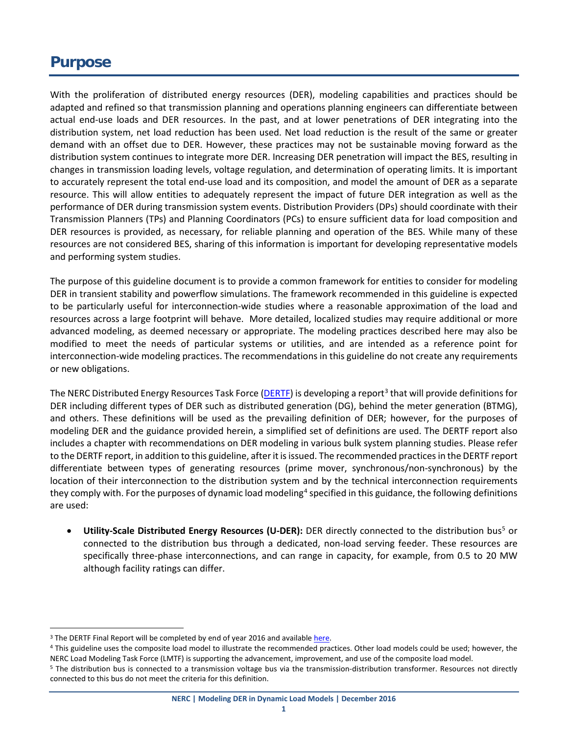## <span id="page-4-0"></span>**Purpose**

With the proliferation of distributed energy resources (DER), modeling capabilities and practices should be adapted and refined so that transmission planning and operations planning engineers can differentiate between actual end-use loads and DER resources. In the past, and at lower penetrations of DER integrating into the distribution system, net load reduction has been used. Net load reduction is the result of the same or greater demand with an offset due to DER. However, these practices may not be sustainable moving forward as the distribution system continues to integrate more DER. Increasing DER penetration will impact the BES, resulting in changes in transmission loading levels, voltage regulation, and determination of operating limits. It is important to accurately represent the total end-use load and its composition, and model the amount of DER as a separate resource. This will allow entities to adequately represent the impact of future DER integration as well as the performance of DER during transmission system events. Distribution Providers (DPs) should coordinate with their Transmission Planners (TPs) and Planning Coordinators (PCs) to ensure sufficient data for load composition and DER resources is provided, as necessary, for reliable planning and operation of the BES. While many of these resources are not considered BES, sharing of this information is important for developing representative models and performing system studies.

The purpose of this guideline document is to provide a common framework for entities to consider for modeling DER in transient stability and powerflow simulations. The framework recommended in this guideline is expected to be particularly useful for interconnection-wide studies where a reasonable approximation of the load and resources across a large footprint will behave. More detailed, localized studies may require additional or more advanced modeling, as deemed necessary or appropriate. The modeling practices described here may also be modified to meet the needs of particular systems or utilities, and are intended as a reference point for interconnection-wide modeling practices. The recommendations in this guideline do not create any requirements or new obligations.

The NERC Distributed Energy Resources Task Force [\(DERTF\)](http://www.nerc.com/comm/Other/Pages/Essential-Reliability-Services-Task-Force-(ERSTF).aspx) is developing a report<sup>[3](#page-4-1)</sup> that will provide definitions for DER including different types of DER such as distributed generation (DG), behind the meter generation (BTMG), and others. These definitions will be used as the prevailing definition of DER; however, for the purposes of modeling DER and the guidance provided herein, a simplified set of definitions are used. The DERTF report also includes a chapter with recommendations on DER modeling in various bulk system planning studies. Please refer to the DERTF report, in addition to this guideline, after it is issued. The recommended practices in the DERTF report differentiate between types of generating resources (prime mover, synchronous/non-synchronous) by the location of their interconnection to the distribution system and by the technical interconnection requirements they comply with. For the purposes of dynamic load modeling<sup>[4](#page-4-2)</sup> specified in this guidance, the following definitions are used:

**Utility-Scale Distributed Energy Resources (U-DER):** DER directly connected to the distribution bus<sup>5</sup> or connected to the distribution bus through a dedicated, non-load serving feeder. These resources are specifically three-phase interconnections, and can range in capacity, for example, from 0.5 to 20 MW although facility ratings can differ.

<span id="page-4-1"></span><sup>&</sup>lt;sup>3</sup> The DERTF Final Report will be completed by end of year 2016 and availabl[e here.](http://www.nerc.com/comm/Other/Pages/Essential-Reliability-Services-Task-Force-(ERSTF).aspx)

<span id="page-4-2"></span><sup>&</sup>lt;sup>4</sup> This guideline uses the composite load model to illustrate the recommended practices. Other load models could be used; however, the NERC Load Modeling Task Force (LMTF) is supporting the advancement, improvement, and use of the composite load model.

<span id="page-4-3"></span><sup>&</sup>lt;sup>5</sup> The distribution bus is connected to a transmission voltage bus via the transmission-distribution transformer. Resources not directly connected to this bus do not meet the criteria for this definition.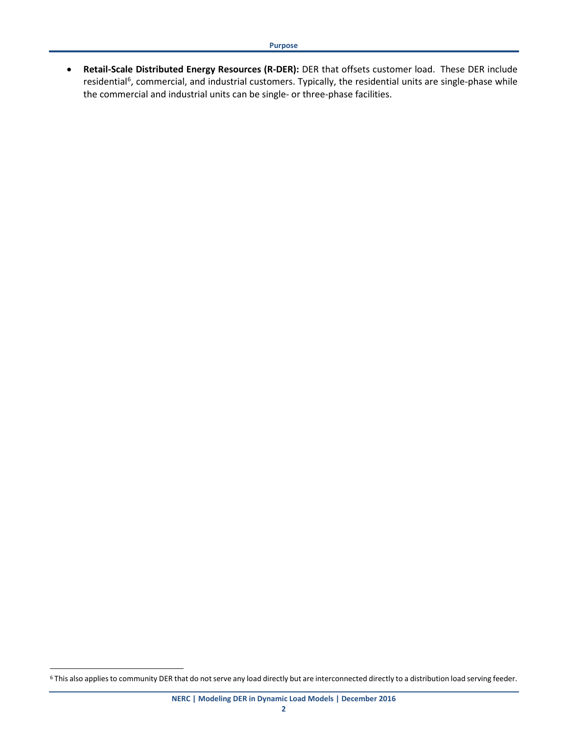• **Retail-Scale Distributed Energy Resources (R-DER):** DER that offsets customer load. These DER include residential<sup>[6](#page-5-0)</sup>, commercial, and industrial customers. Typically, the residential units are single-phase while the commercial and industrial units can be single- or three-phase facilities.

<span id="page-5-0"></span><sup>&</sup>lt;sup>6</sup> This also applies to community DER that do not serve any load directly but are interconnected directly to a distribution load serving feeder.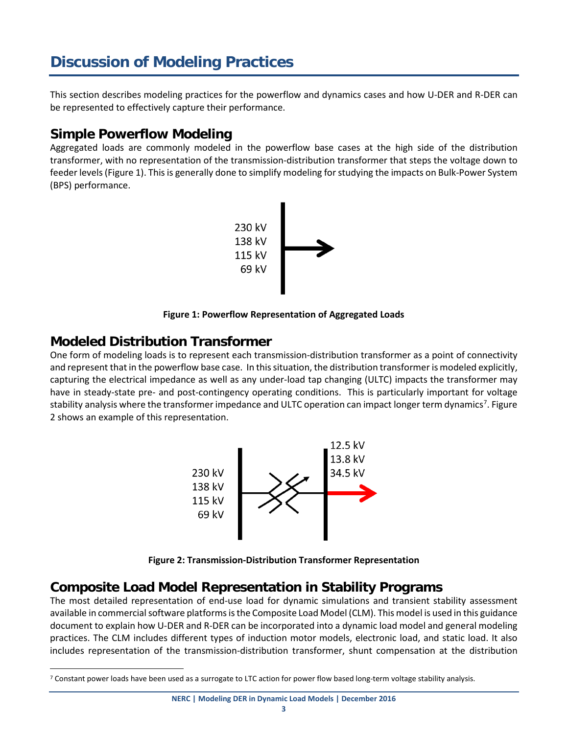# <span id="page-6-0"></span>**Discussion of Modeling Practices**

This section describes modeling practices for the powerflow and dynamics cases and how U-DER and R-DER can be represented to effectively capture their performance.

#### <span id="page-6-1"></span>**Simple Powerflow Modeling**

Aggregated loads are commonly modeled in the powerflow base cases at the high side of the distribution transformer, with no representation of the transmission-distribution transformer that steps the voltage down to feeder levels (Figure 1). This is generally done to simplify modeling for studying the impacts on Bulk-Power System (BPS) performance.



**Figure 1: Powerflow Representation of Aggregated Loads**

#### <span id="page-6-2"></span>**Modeled Distribution Transformer**

One form of modeling loads is to represent each transmission-distribution transformer as a point of connectivity and represent that in the powerflow base case. In this situation, the distribution transformer is modeled explicitly, capturing the electrical impedance as well as any under-load tap changing (ULTC) impacts the transformer may have in steady-state pre- and post-contingency operating conditions. This is particularly important for voltage stability analysis where the transformer impedance and ULTC operation can impact longer term dynamics<sup>[7](#page-6-4)</sup>. Figure 2 shows an example of this representation.



**Figure 2: Transmission-Distribution Transformer Representation**

#### <span id="page-6-3"></span>**Composite Load Model Representation in Stability Programs**

The most detailed representation of end-use load for dynamic simulations and transient stability assessment available in commercial software platforms is the Composite Load Model (CLM). This model is used in this guidance document to explain how U-DER and R-DER can be incorporated into a dynamic load model and general modeling practices. The CLM includes different types of induction motor models, electronic load, and static load. It also includes representation of the transmission-distribution transformer, shunt compensation at the distribution

<span id="page-6-4"></span> <sup>7</sup> Constant power loads have been used as a surrogate to LTC action for power flow based long-term voltage stability analysis.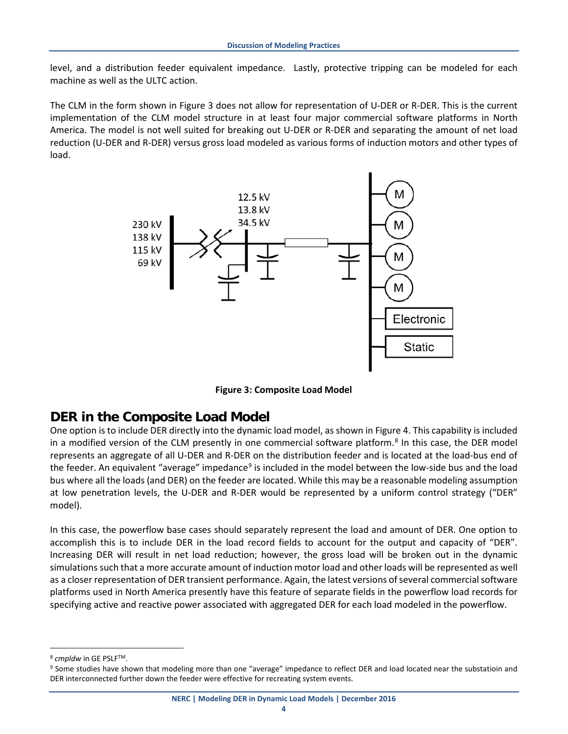level, and a distribution feeder equivalent impedance. Lastly, protective tripping can be modeled for each machine as well as the ULTC action.

The CLM in the form shown in Figure 3 does not allow for representation of U-DER or R-DER. This is the current implementation of the CLM model structure in at least four major commercial software platforms in North America. The model is not well suited for breaking out U-DER or R-DER and separating the amount of net load reduction (U-DER and R-DER) versus gross load modeled as various forms of induction motors and other types of load.



**Figure 3: Composite Load Model**

#### <span id="page-7-0"></span>**DER in the Composite Load Model**

One option is to include DER directly into the dynamic load model, as shown in Figure 4. This capability is included in a modified version of the CLM presently in one commercial software platform. [8](#page-7-1) In this case, the DER model represents an aggregate of all U-DER and R-DER on the distribution feeder and is located at the load-bus end of the feeder. An equivalent "average" impedance<sup>[9](#page-7-2)</sup> is included in the model between the low-side bus and the load bus where all the loads (and DER) on the feeder are located. While this may be a reasonable modeling assumption at low penetration levels, the U-DER and R-DER would be represented by a uniform control strategy ("DER" model).

In this case, the powerflow base cases should separately represent the load and amount of DER. One option to accomplish this is to include DER in the load record fields to account for the output and capacity of "DER". Increasing DER will result in net load reduction; however, the gross load will be broken out in the dynamic simulations such that a more accurate amount of induction motor load and other loads will be represented as well as a closer representation of DER transient performance. Again, the latest versions of several commercial software platforms used in North America presently have this feature of separate fields in the powerflow load records for specifying active and reactive power associated with aggregated DER for each load modeled in the powerflow.

<span id="page-7-1"></span><sup>&</sup>lt;sup>8</sup> *cmpldw* in GE PSLF™.

<span id="page-7-2"></span><sup>9</sup> Some studies have shown that modeling more than one "average" impedance to reflect DER and load located near the substatioin and DER interconnected further down the feeder were effective for recreating system events.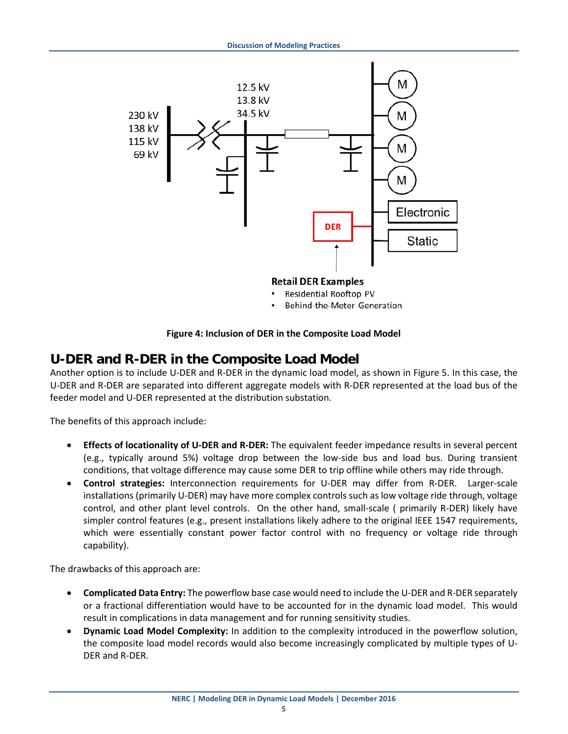

- Residential Rooftop PV
- Behind-the-Meter Generation

#### **Figure 4: Inclusion of DER in the Composite Load Model**

#### <span id="page-8-0"></span>**U-DER and R-DER in the Composite Load Model**

Another option is to include U-DER and R-DER in the dynamic load model, as shown in Figure 5. In this case, the U-DER and R-DER are separated into different aggregate models with R-DER represented at the load bus of the feeder model and U-DER represented at the distribution substation.

The benefits of this approach include:

- **Effects of locationality of U-DER and R-DER:** The equivalent feeder impedance results in several percent (e.g., typically around 5%) voltage drop between the low-side bus and load bus. During transient conditions, that voltage difference may cause some DER to trip offline while others may ride through.
- **Control strategies:** Interconnection requirements for U-DER may differ from R-DER. Larger-scale installations (primarily U-DER) may have more complex controls such as low voltage ride through, voltage control, and other plant level controls. On the other hand, small-scale ( primarily R-DER) likely have simpler control features (e.g., present installations likely adhere to the original IEEE 1547 requirements, which were essentially constant power factor control with no frequency or voltage ride through capability).

The drawbacks of this approach are:

- **Complicated Data Entry:** The powerflow base case would need to include the U-DER and R-DER separately or a fractional differentiation would have to be accounted for in the dynamic load model. This would result in complications in data management and for running sensitivity studies.
- **Dynamic Load Model Complexity:** In addition to the complexity introduced in the powerflow solution, the composite load model records would also become increasingly complicated by multiple types of U-DER and R-DER.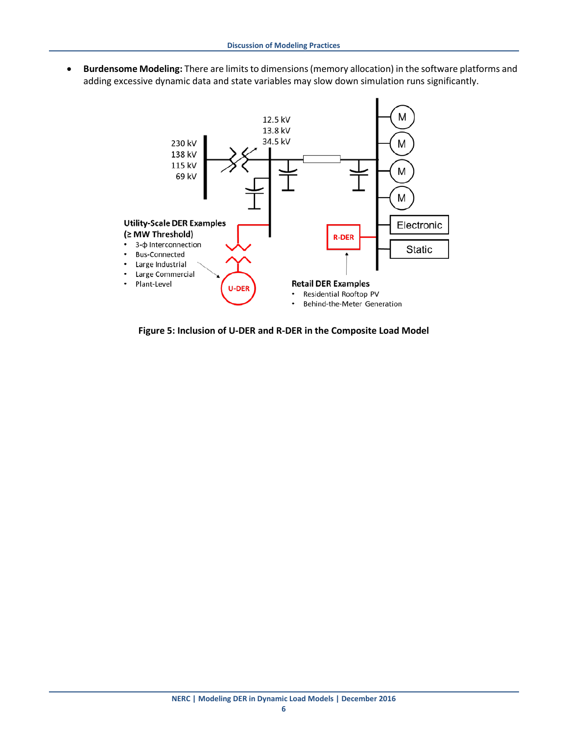• **Burdensome Modeling:** There are limits to dimensions (memory allocation) in the software platforms and adding excessive dynamic data and state variables may slow down simulation runs significantly.



**Figure 5: Inclusion of U-DER and R-DER in the Composite Load Model**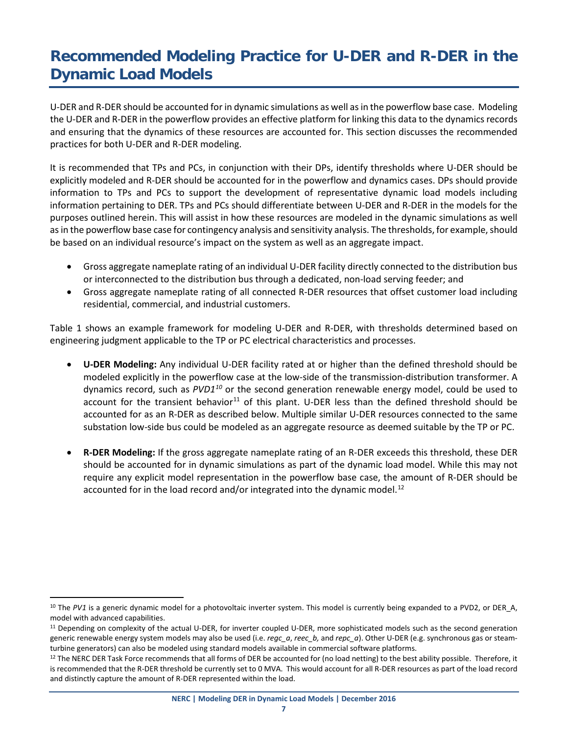# <span id="page-10-0"></span>**Recommended Modeling Practice for U-DER and R-DER in the Dynamic Load Models**

U-DER and R-DER should be accounted for in dynamic simulations as well as in the powerflow base case. Modeling the U-DER and R-DER in the powerflow provides an effective platform for linking this data to the dynamics records and ensuring that the dynamics of these resources are accounted for. This section discusses the recommended practices for both U-DER and R-DER modeling.

It is recommended that TPs and PCs, in conjunction with their DPs, identify thresholds where U-DER should be explicitly modeled and R-DER should be accounted for in the powerflow and dynamics cases. DPs should provide information to TPs and PCs to support the development of representative dynamic load models including information pertaining to DER. TPs and PCs should differentiate between U-DER and R-DER in the models for the purposes outlined herein. This will assist in how these resources are modeled in the dynamic simulations as well as in the powerflow base case for contingency analysis and sensitivity analysis. The thresholds, for example, should be based on an individual resource's impact on the system as well as an aggregate impact.

- Gross aggregate nameplate rating of an individual U-DER facility directly connected to the distribution bus or interconnected to the distribution bus through a dedicated, non-load serving feeder; and
- Gross aggregate nameplate rating of all connected R-DER resources that offset customer load including residential, commercial, and industrial customers.

Table 1 shows an example framework for modeling U-DER and R-DER, with thresholds determined based on engineering judgment applicable to the TP or PC electrical characteristics and processes.

- **U-DER Modeling:** Any individual U-DER facility rated at or higher than the defined threshold should be modeled explicitly in the powerflow case at the low-side of the transmission-distribution transformer. A dynamics record, such as *PVD1[10](#page-10-1)* or the second generation renewable energy model, could be used to account for the transient behavior<sup>[11](#page-10-2)</sup> of this plant. U-DER less than the defined threshold should be accounted for as an R-DER as described below. Multiple similar U-DER resources connected to the same substation low-side bus could be modeled as an aggregate resource as deemed suitable by the TP or PC.
- **R-DER Modeling:** If the gross aggregate nameplate rating of an R-DER exceeds this threshold, these DER should be accounted for in dynamic simulations as part of the dynamic load model. While this may not require any explicit model representation in the powerflow base case, the amount of R-DER should be accounted for in the load record and/or integrated into the dynamic model.<sup>[12](#page-10-3)</sup>

<span id="page-10-1"></span><sup>&</sup>lt;sup>10</sup> The *PV1* is a generic dynamic model for a photovoltaic inverter system. This model is currently being expanded to a PVD2, or DER\_A, model with advanced capabilities.

<span id="page-10-2"></span><sup>&</sup>lt;sup>11</sup> Depending on complexity of the actual U-DER, for inverter coupled U-DER, more sophisticated models such as the second generation generic renewable energy system models may also be used (i.e. *regc\_a*, *reec\_b,* and *repc\_a*). Other U-DER (e.g. synchronous gas or steamturbine generators) can also be modeled using standard models available in commercial software platforms.

<span id="page-10-3"></span><sup>&</sup>lt;sup>12</sup> The NERC DER Task Force recommends that all forms of DER be accounted for (no load netting) to the best ability possible. Therefore, it is recommended that the R-DER threshold be currently set to 0 MVA. This would account for all R-DER resources as part of the load record and distinctly capture the amount of R-DER represented within the load.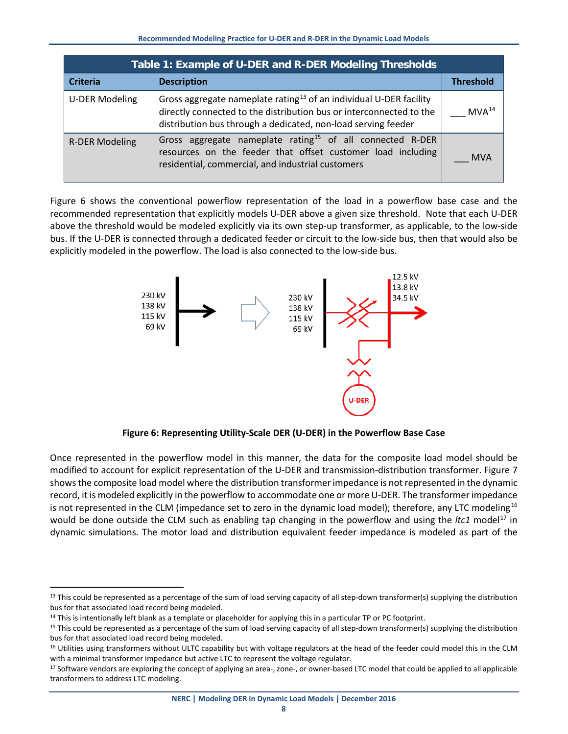| Table 1: Example of U-DER and R-DER Modeling Thresholds |                                                                                                                                                                                                                        |                   |  |  |  |  |  |  |  |
|---------------------------------------------------------|------------------------------------------------------------------------------------------------------------------------------------------------------------------------------------------------------------------------|-------------------|--|--|--|--|--|--|--|
| <b>Criteria</b>                                         | <b>Description</b>                                                                                                                                                                                                     | <b>Threshold</b>  |  |  |  |  |  |  |  |
| <b>U-DER Modeling</b>                                   | Gross aggregate nameplate rating <sup>13</sup> of an individual U-DER facility<br>directly connected to the distribution bus or interconnected to the<br>distribution bus through a dedicated, non-load serving feeder | MVA <sup>14</sup> |  |  |  |  |  |  |  |
| <b>R-DER Modeling</b>                                   | Gross aggregate nameplate rating <sup>15</sup> of all connected R-DER<br>resources on the feeder that offset customer load including<br>residential, commercial, and industrial customers                              | MVA               |  |  |  |  |  |  |  |

Figure 6 shows the conventional powerflow representation of the load in a powerflow base case and the recommended representation that explicitly models U-DER above a given size threshold. Note that each U-DER above the threshold would be modeled explicitly via its own step-up transformer, as applicable, to the low-side bus. If the U-DER is connected through a dedicated feeder or circuit to the low-side bus, then that would also be explicitly modeled in the powerflow. The load is also connected to the low-side bus.



**Figure 6: Representing Utility-Scale DER (U-DER) in the Powerflow Base Case**

Once represented in the powerflow model in this manner, the data for the composite load model should be modified to account for explicit representation of the U-DER and transmission-distribution transformer. Figure 7 shows the composite load model where the distribution transformer impedance is not represented in the dynamic record, it is modeled explicitly in the powerflow to accommodate one or more U-DER. The transformer impedance is not represented in the CLM (impedance set to zero in the dynamic load model); therefore, any LTC modeling<sup>[16](#page-11-3)</sup> would be done outside the CLM such as enabling tap changing in the powerflow and using the *ltc1* model<sup>[17](#page-11-4)</sup> in dynamic simulations. The motor load and distribution equivalent feeder impedance is modeled as part of the

<span id="page-11-0"></span><sup>&</sup>lt;sup>13</sup> This could be represented as a percentage of the sum of load serving capacity of all step-down transformer(s) supplying the distribution bus for that associated load record being modeled.

<span id="page-11-1"></span> $14$  This is intentionally left blank as a template or placeholder for applying this in a particular TP or PC footprint.

<span id="page-11-2"></span><sup>&</sup>lt;sup>15</sup> This could be represented as a percentage of the sum of load serving capacity of all step-down transformer(s) supplying the distribution bus for that associated load record being modeled.

<span id="page-11-3"></span><sup>&</sup>lt;sup>16</sup> Utilities using transformers without ULTC capability but with voltage regulators at the head of the feeder could model this in the CLM with a minimal transformer impedance but active LTC to represent the voltage regulator.

<span id="page-11-4"></span><sup>&</sup>lt;sup>17</sup> Software vendors are exploring the concept of applying an area-, zone-, or owner-based LTC model that could be applied to all applicable transformers to address LTC modeling.